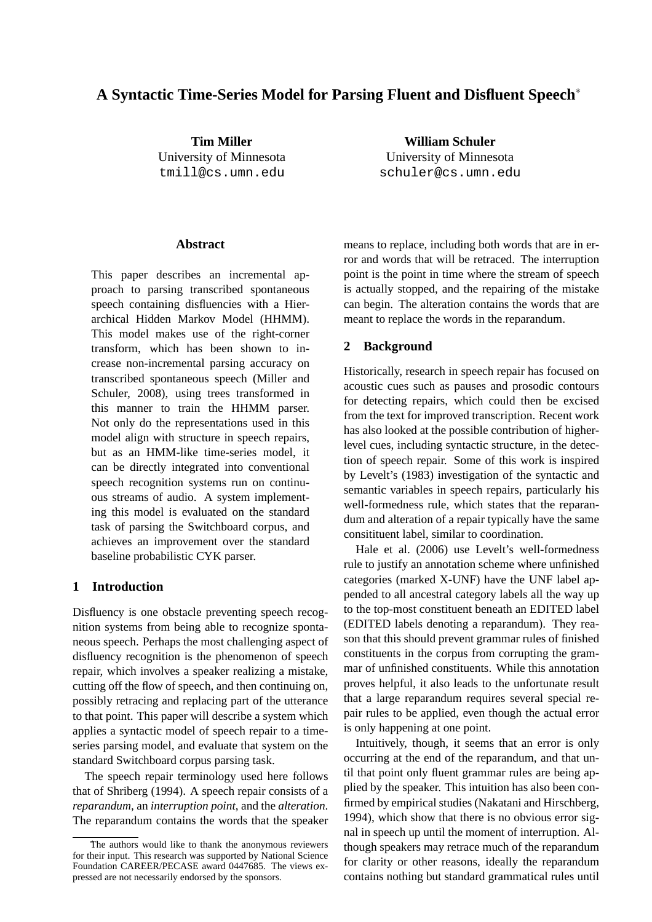# **A Syntactic Time-Series Model for Parsing Fluent and Disfluent Speech** ∗

**Tim Miller** University of Minnesota tmill@cs.umn.edu

**Abstract**

This paper describes an incremental approach to parsing transcribed spontaneous speech containing disfluencies with a Hierarchical Hidden Markov Model (HHMM). This model makes use of the right-corner transform, which has been shown to increase non-incremental parsing accuracy on transcribed spontaneous speech (Miller and Schuler, 2008), using trees transformed in this manner to train the HHMM parser. Not only do the representations used in this model align with structure in speech repairs, but as an HMM-like time-series model, it can be directly integrated into conventional speech recognition systems run on continuous streams of audio. A system implementing this model is evaluated on the standard task of parsing the Switchboard corpus, and achieves an improvement over the standard baseline probabilistic CYK parser.

### **1 Introduction**

Disfluency is one obstacle preventing speech recognition systems from being able to recognize spontaneous speech. Perhaps the most challenging aspect of disfluency recognition is the phenomenon of speech repair, which involves a speaker realizing a mistake, cutting off the flow of speech, and then continuing on, possibly retracing and replacing part of the utterance to that point. This paper will describe a system which applies a syntactic model of speech repair to a timeseries parsing model, and evaluate that system on the standard Switchboard corpus parsing task.

The speech repair terminology used here follows that of Shriberg (1994). A speech repair consists of a *reparandum*, an *interruption point*, and the *alteration*. The reparandum contains the words that the speaker means to replace, including both words that are in error and words that will be retraced. The interruption point is the point in time where the stream of speech is actually stopped, and the repairing of the mistake can begin. The alteration contains the words that are

meant to replace the words in the reparandum.

**William Schuler** University of Minnesota schuler@cs.umn.edu

### **2 Background**

Historically, research in speech repair has focused on acoustic cues such as pauses and prosodic contours for detecting repairs, which could then be excised from the text for improved transcription. Recent work has also looked at the possible contribution of higherlevel cues, including syntactic structure, in the detection of speech repair. Some of this work is inspired by Levelt's (1983) investigation of the syntactic and semantic variables in speech repairs, particularly his well-formedness rule, which states that the reparandum and alteration of a repair typically have the same consitituent label, similar to coordination.

Hale et al. (2006) use Levelt's well-formedness rule to justify an annotation scheme where unfinished categories (marked X-UNF) have the UNF label appended to all ancestral category labels all the way up to the top-most constituent beneath an EDITED label (EDITED labels denoting a reparandum). They reason that this should prevent grammar rules of finished constituents in the corpus from corrupting the grammar of unfinished constituents. While this annotation proves helpful, it also leads to the unfortunate result that a large reparandum requires several special repair rules to be applied, even though the actual error is only happening at one point.

Intuitively, though, it seems that an error is only occurring at the end of the reparandum, and that until that point only fluent grammar rules are being applied by the speaker. This intuition has also been confirmed by empirical studies (Nakatani and Hirschberg, 1994), which show that there is no obvious error signal in speech up until the moment of interruption. Although speakers may retrace much of the reparandum for clarity or other reasons, ideally the reparandum contains nothing but standard grammatical rules until

The authors would like to thank the anonymous reviewers for their input. This research was supported by National Science Foundation CAREER/PECASE award 0447685. The views expressed are not necessarily endorsed by the sponsors.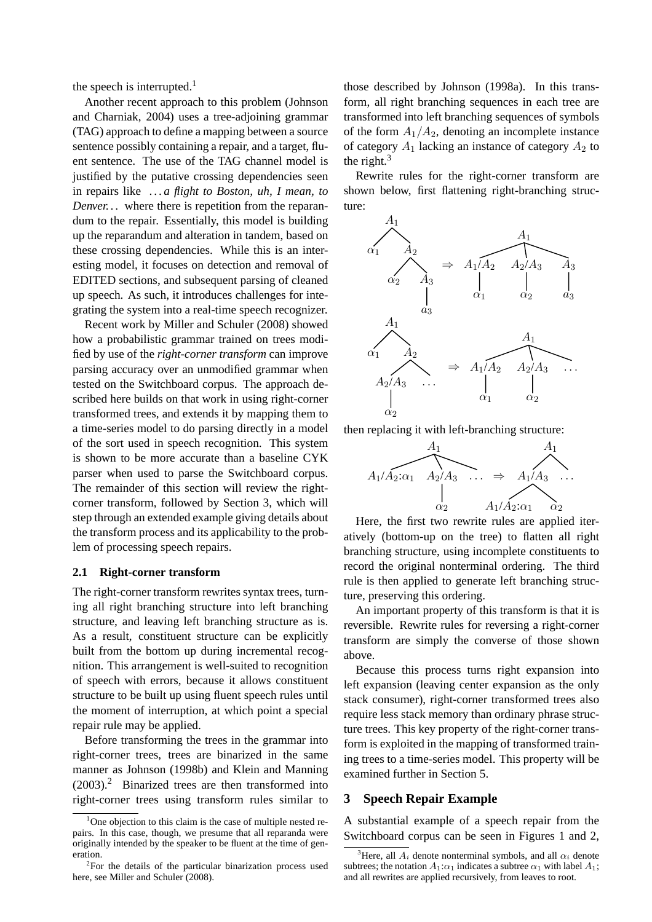the speech is interrupted.<sup>1</sup>

Another recent approach to this problem (Johnson and Charniak, 2004) uses a tree-adjoining grammar (TAG) approach to define a mapping between a source sentence possibly containing a repair, and a target, fluent sentence. The use of the TAG channel model is justified by the putative crossing dependencies seen in repairs like *. . . a flight to Boston, uh, I mean, to Denver...* where there is repetition from the reparandum to the repair. Essentially, this model is building up the reparandum and alteration in tandem, based on these crossing dependencies. While this is an interesting model, it focuses on detection and removal of EDITED sections, and subsequent parsing of cleaned up speech. As such, it introduces challenges for integrating the system into a real-time speech recognizer.

Recent work by Miller and Schuler (2008) showed how a probabilistic grammar trained on trees modified by use of the *right-corner transform* can improve parsing accuracy over an unmodified grammar when tested on the Switchboard corpus. The approach described here builds on that work in using right-corner transformed trees, and extends it by mapping them to a time-series model to do parsing directly in a model of the sort used in speech recognition. This system is shown to be more accurate than a baseline CYK parser when used to parse the Switchboard corpus. The remainder of this section will review the rightcorner transform, followed by Section 3, which will step through an extended example giving details about the transform process and its applicability to the problem of processing speech repairs.

### **2.1 Right-corner transform**

The right-corner transform rewrites syntax trees, turning all right branching structure into left branching structure, and leaving left branching structure as is. As a result, constituent structure can be explicitly built from the bottom up during incremental recognition. This arrangement is well-suited to recognition of speech with errors, because it allows constituent structure to be built up using fluent speech rules until the moment of interruption, at which point a special repair rule may be applied.

Before transforming the trees in the grammar into right-corner trees, trees are binarized in the same manner as Johnson (1998b) and Klein and Manning  $(2003).$ <sup>2</sup> Binarized trees are then transformed into right-corner trees using transform rules similar to

those described by Johnson (1998a). In this transform, all right branching sequences in each tree are transformed into left branching sequences of symbols of the form  $A_1/A_2$ , denoting an incomplete instance of category  $A_1$  lacking an instance of category  $A_2$  to the right.<sup>3</sup>

Rewrite rules for the right-corner transform are shown below, first flattening right-branching structure:



then replacing it with left-branching structure:



Here, the first two rewrite rules are applied iteratively (bottom-up on the tree) to flatten all right branching structure, using incomplete constituents to record the original nonterminal ordering. The third rule is then applied to generate left branching structure, preserving this ordering.

An important property of this transform is that it is reversible. Rewrite rules for reversing a right-corner transform are simply the converse of those shown above.

Because this process turns right expansion into left expansion (leaving center expansion as the only stack consumer), right-corner transformed trees also require less stack memory than ordinary phrase structure trees. This key property of the right-corner transform is exploited in the mapping of transformed training trees to a time-series model. This property will be examined further in Section 5.

### **3 Speech Repair Example**

A substantial example of a speech repair from the Switchboard corpus can be seen in Figures 1 and 2,

 $1$ One objection to this claim is the case of multiple nested repairs. In this case, though, we presume that all reparanda were originally intended by the speaker to be fluent at the time of generation.

<sup>&</sup>lt;sup>2</sup>For the details of the particular binarization process used here, see Miller and Schuler (2008).

<sup>&</sup>lt;sup>3</sup>Here, all  $A_i$  denote nonterminal symbols, and all  $\alpha_i$  denote subtrees; the notation  $A_1:\alpha_1$  indicates a subtree  $\alpha_1$  with label  $A_1$ ; and all rewrites are applied recursively, from leaves to root.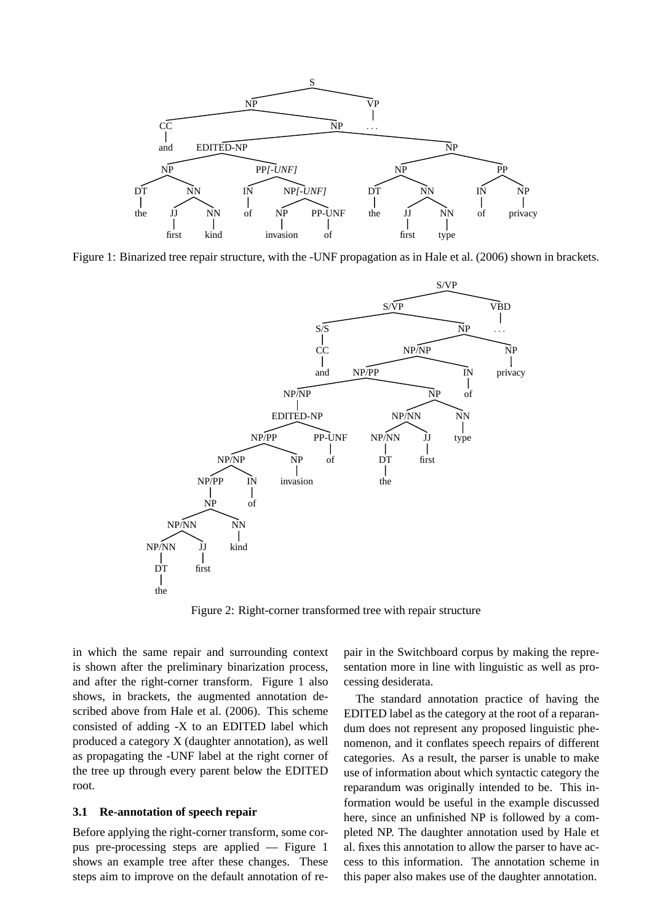

Figure 1: Binarized tree repair structure, with the -UNF propagation as in Hale et al. (2006) shown in brackets.



Figure 2: Right-corner transformed tree with repair structure

in which the same repair and surrounding context is shown after the preliminary binarization process, and after the right-corner transform. Figure 1 also shows, in brackets, the augmented annotation described above from Hale et al. (2006). This scheme consisted of adding -X to an EDITED label which produced a category X (daughter annotation), as well as propagating the -UNF label at the right corner of the tree up through every parent below the EDITED root.

### **3.1 Re-annotation of speech repair**

Before applying the right-corner transform, some corpus pre-processing steps are applied — Figure 1 shows an example tree after these changes. These steps aim to improve on the default annotation of repair in the Switchboard corpus by making the representation more in line with linguistic as well as processing desiderata.

The standard annotation practice of having the EDITED label as the category at the root of a reparandum does not represent any proposed linguistic phenomenon, and it conflates speech repairs of different categories. As a result, the parser is unable to make use of information about which syntactic category the reparandum was originally intended to be. This information would be useful in the example discussed here, since an unfinished NP is followed by a completed NP. The daughter annotation used by Hale et al. fixes this annotation to allow the parser to have access to this information. The annotation scheme in this paper also makes use of the daughter annotation.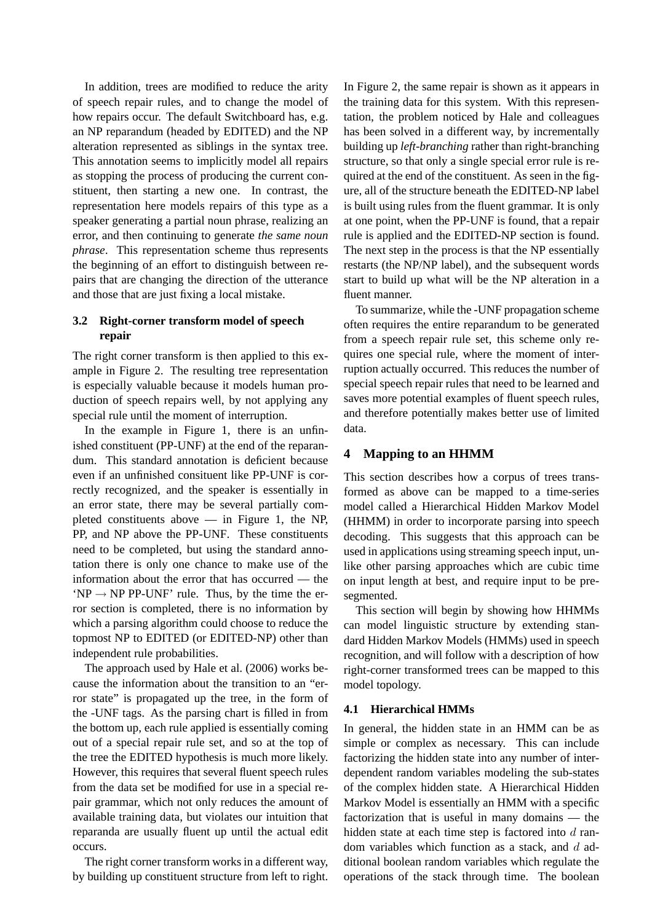In addition, trees are modified to reduce the arity of speech repair rules, and to change the model of how repairs occur. The default Switchboard has, e.g. an NP reparandum (headed by EDITED) and the NP alteration represented as siblings in the syntax tree. This annotation seems to implicitly model all repairs as stopping the process of producing the current constituent, then starting a new one. In contrast, the representation here models repairs of this type as a speaker generating a partial noun phrase, realizing an error, and then continuing to generate *the same noun phrase*. This representation scheme thus represents the beginning of an effort to distinguish between repairs that are changing the direction of the utterance and those that are just fixing a local mistake.

### **3.2 Right-corner transform model of speech repair**

The right corner transform is then applied to this example in Figure 2. The resulting tree representation is especially valuable because it models human production of speech repairs well, by not applying any special rule until the moment of interruption.

In the example in Figure 1, there is an unfinished constituent (PP-UNF) at the end of the reparandum. This standard annotation is deficient because even if an unfinished consituent like PP-UNF is correctly recognized, and the speaker is essentially in an error state, there may be several partially completed constituents above — in Figure 1, the NP, PP, and NP above the PP-UNF. These constituents need to be completed, but using the standard annotation there is only one chance to make use of the information about the error that has occurred — the  $'NP \rightarrow NP PP-UNF'$  rule. Thus, by the time the error section is completed, there is no information by which a parsing algorithm could choose to reduce the topmost NP to EDITED (or EDITED-NP) other than independent rule probabilities.

The approach used by Hale et al. (2006) works because the information about the transition to an "error state" is propagated up the tree, in the form of the -UNF tags. As the parsing chart is filled in from the bottom up, each rule applied is essentially coming out of a special repair rule set, and so at the top of the tree the EDITED hypothesis is much more likely. However, this requires that several fluent speech rules from the data set be modified for use in a special repair grammar, which not only reduces the amount of available training data, but violates our intuition that reparanda are usually fluent up until the actual edit occurs.

The right corner transform works in a different way, by building up constituent structure from left to right. In Figure 2, the same repair is shown as it appears in the training data for this system. With this representation, the problem noticed by Hale and colleagues has been solved in a different way, by incrementally building up *left-branching* rather than right-branching structure, so that only a single special error rule is required at the end of the constituent. As seen in the figure, all of the structure beneath the EDITED-NP label is built using rules from the fluent grammar. It is only at one point, when the PP-UNF is found, that a repair rule is applied and the EDITED-NP section is found. The next step in the process is that the NP essentially restarts (the NP/NP label), and the subsequent words start to build up what will be the NP alteration in a fluent manner.

To summarize, while the -UNF propagation scheme often requires the entire reparandum to be generated from a speech repair rule set, this scheme only requires one special rule, where the moment of interruption actually occurred. This reduces the number of special speech repair rules that need to be learned and saves more potential examples of fluent speech rules, and therefore potentially makes better use of limited data.

# **4 Mapping to an HHMM**

This section describes how a corpus of trees transformed as above can be mapped to a time-series model called a Hierarchical Hidden Markov Model (HHMM) in order to incorporate parsing into speech decoding. This suggests that this approach can be used in applications using streaming speech input, unlike other parsing approaches which are cubic time on input length at best, and require input to be presegmented.

This section will begin by showing how HHMMs can model linguistic structure by extending standard Hidden Markov Models (HMMs) used in speech recognition, and will follow with a description of how right-corner transformed trees can be mapped to this model topology.

### **4.1 Hierarchical HMMs**

In general, the hidden state in an HMM can be as simple or complex as necessary. This can include factorizing the hidden state into any number of interdependent random variables modeling the sub-states of the complex hidden state. A Hierarchical Hidden Markov Model is essentially an HMM with a specific factorization that is useful in many domains — the hidden state at each time step is factored into  $d$  random variables which function as a stack, and  $d$  additional boolean random variables which regulate the operations of the stack through time. The boolean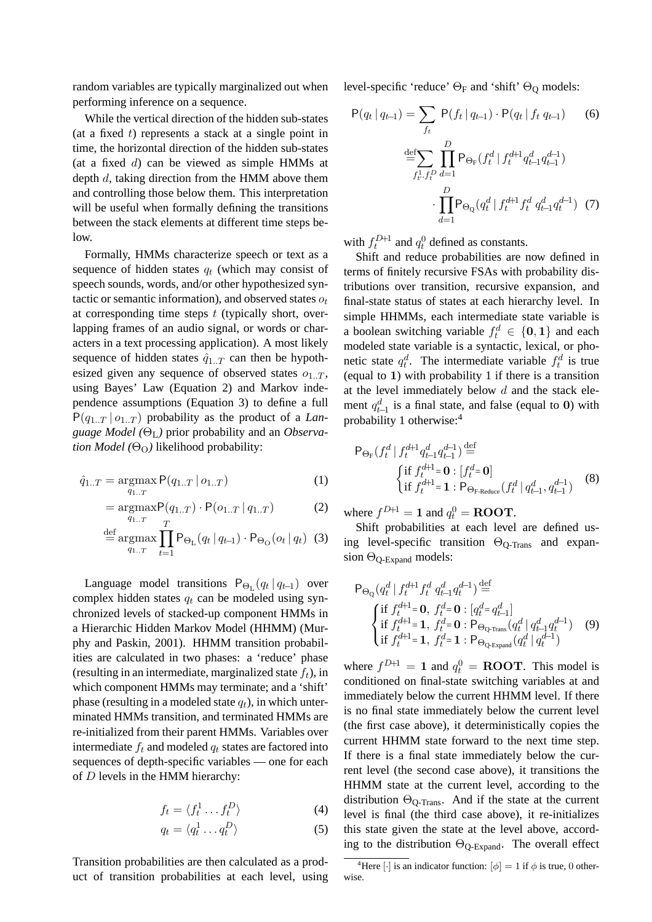random variables are typically marginalized out when performing inference on a sequence.

While the vertical direction of the hidden sub-states (at a fixed  $t$ ) represents a stack at a single point in time, the horizontal direction of the hidden sub-states (at a fixed  $d$ ) can be viewed as simple HMMs at depth d, taking direction from the HMM above them and controlling those below them. This interpretation will be useful when formally defining the transitions between the stack elements at different time steps below.

Formally, HMMs characterize speech or text as a sequence of hidden states  $q_t$  (which may consist of speech sounds, words, and/or other hypothesized syntactic or semantic information), and observed states  $o_t$ at corresponding time steps  $t$  (typically short, overlapping frames of an audio signal, or words or characters in a text processing application). A most likely sequence of hidden states  $\hat{q}_{1,T}$  can then be hypothesized given any sequence of observed states  $o_{1,T}$ , using Bayes' Law (Equation 2) and Markov independence assumptions (Equation 3) to define a full  $P(q_{1..T} | o_{1..T})$  probability as the product of a *Language Model (*ΘL*)* prior probability and an *Observation Model* ( $\Theta$ <sub>O</sub>) likelihood probability:

$$
\hat{q}_{1..T} = \underset{q_{1..T}}{\text{argmax}} \, \mathsf{P}(q_{1..T} \, | \, o_{1..T}) \tag{1}
$$

$$
= \underset{q_{1..T}}{\text{argmax}} P(q_{1..T}) \cdot P(o_{1..T} | q_{1..T}) \tag{2}
$$

$$
\stackrel{\text{def}}{=} \underset{q_{1..T}}{\text{argmax}} \prod_{t=1}^{T} \mathsf{P}_{\Theta_{\mathbf{L}}}(q_t | q_{t-1}) \cdot \mathsf{P}_{\Theta_{\mathbf{O}}}(o_t | q_t) \tag{3}
$$

Language model transitions  $P_{\Theta_L}(q_t | q_{t-1})$  over complex hidden states  $q_t$  can be modeled using synchronized levels of stacked-up component HMMs in a Hierarchic Hidden Markov Model (HHMM) (Murphy and Paskin, 2001). HHMM transition probabilities are calculated in two phases: a 'reduce' phase (resulting in an intermediate, marginalized state  $f_t$ ), in which component HMMs may terminate; and a 'shift' phase (resulting in a modeled state  $q_t$ ), in which unterminated HMMs transition, and terminated HMMs are re-initialized from their parent HMMs. Variables over intermediate  $f_t$  and modeled  $q_t$  states are factored into sequences of depth-specific variables — one for each of D levels in the HMM hierarchy:

$$
f_t = \langle f_t^1 \dots f_t^D \rangle \tag{4}
$$

$$
q_t = \langle q_t^1 \dots q_t^D \rangle \tag{5}
$$

Transition probabilities are then calculated as a product of transition probabilities at each level, using level-specific 'reduce'  $\Theta_F$  and 'shift'  $\Theta_Q$  models:

$$
P(q_t | q_{t-1}) = \sum_{f_t} P(f_t | q_{t-1}) \cdot P(q_t | f_t | q_{t-1}) \qquad (6)
$$

$$
\stackrel{\text{def}}{=} \sum_{f_t^1 \cdot f_t^D} \prod_{d=1}^D P_{\Theta_F}(f_t^d | f_t^{d+1} q_{t-1}^d q_{t-1}^{d-1})
$$

$$
\cdot \prod_{d=1}^D P_{\Theta_Q}(q_t^d | f_t^{d+1} f_t^d q_{t-1}^d q_t^{d-1}) \quad (7)
$$

with  $f_t^{D+1}$  and  $q_t^0$  defined as constants.

Shift and reduce probabilities are now defined in terms of finitely recursive FSAs with probability distributions over transition, recursive expansion, and final-state status of states at each hierarchy level. In simple HHMMs, each intermediate state variable is a boolean switching variable  $f_t^d \in \{0, 1\}$  and each modeled state variable is a syntactic, lexical, or phonetic state  $q_t^d$ . The intermediate variable  $f_t^d$  is true (equal to 1) with probability 1 if there is a transition at the level immediately below  $d$  and the stack element  $q_{t-1}^d$  is a final state, and false (equal to 0) with probability 1 otherwise:<sup>4</sup>

$$
\mathsf{P}_{\Theta_{\mathrm{F}}}(f_t^d | f_t^{d+1} q_{t-1}^d q_{t-1}^{d-1}) \stackrel{\text{def}}{=} \{\n\begin{cases}\n\text{if } f_t^{d+1} = \mathbf{0} : [f_t^d = \mathbf{0}]\n\text{if } f_t^{d+1} = \mathbf{1} : \mathsf{P}_{\Theta_{\mathrm{F-Reduce}}}(f_t^d | q_{t-1}^d, q_{t-1}^{d-1})\n\end{cases}\n\tag{8}
$$

where  $f^{D+1} = 1$  and  $q_t^0 = \text{ROOT}$ .

Shift probabilities at each level are defined using level-specific transition  $\Theta_{\text{O-Trans}}$  and expansion  $\Theta_{\text{O-Expand}}$  models:

$$
\begin{aligned}\n\mathsf{P}_{\Theta_{\mathbb{Q}}}(q_t^d \mid f_t^{d+1} f_t^d \; q_{t-1}^d q_t^{d-1}) & \stackrel{\text{def}}{=} \\
\begin{cases}\n\text{if } f_t^{d+1} = \mathbf{0}, \; f_t^d = \mathbf{0} : [q_t^d = q_{t-1}^d] \\
\text{if } f_t^{d+1} = \mathbf{1}, \; f_t^d = \mathbf{0} : \mathsf{P}_{\Theta_{\mathbb{Q}\text{-Trans}}} (q_t^d \mid q_{t-1}^d q_t^{d-1}) \\
\text{if } f_t^{d+1} = \mathbf{1}, \; f_t^d = \mathbf{1} : \mathsf{P}_{\Theta_{\mathbb{Q}\text{-Expand}}} (q_t^d \mid q_t^{d-1})\n\end{cases} \tag{9}\n\end{aligned}
$$

where  $f^{D+1} = 1$  and  $q_t^0 = \text{ROOT}$ . This model is conditioned on final-state switching variables at and immediately below the current HHMM level. If there is no final state immediately below the current level (the first case above), it deterministically copies the current HHMM state forward to the next time step. If there is a final state immediately below the current level (the second case above), it transitions the HHMM state at the current level, according to the distribution  $\Theta_{\text{Q-Trans}}$ . And if the state at the current level is final (the third case above), it re-initializes this state given the state at the level above, according to the distribution  $\Theta_{\text{O-Expand}}$ . The overall effect

<sup>&</sup>lt;sup>4</sup>Here  $\left[\cdot\right]$  is an indicator function:  $\left[\phi\right] = 1$  if  $\phi$  is true, 0 otherwise.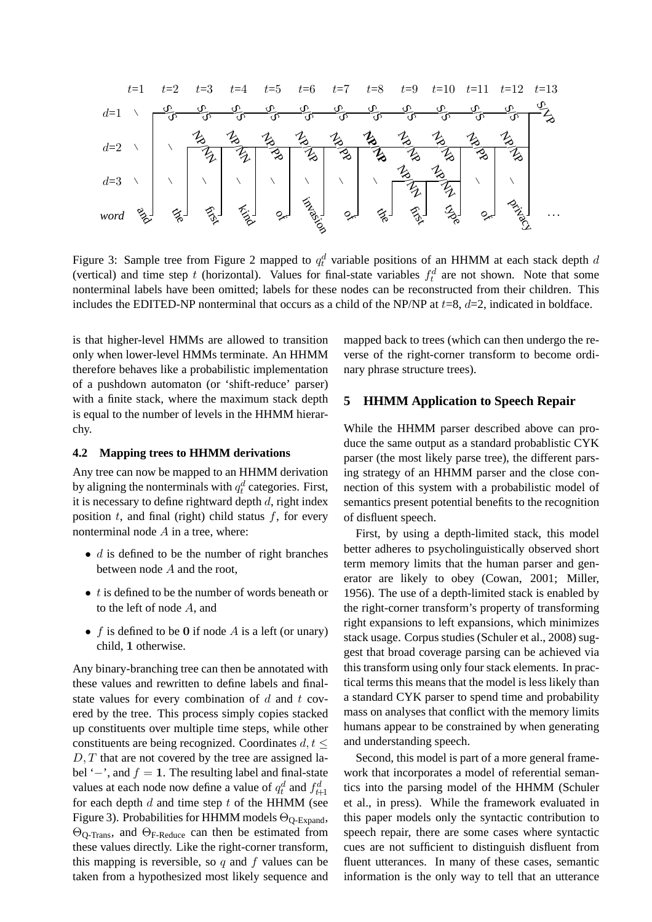$$
t=1 \quad t=2 \quad t=3 \quad t=4 \quad t=5 \quad t=6 \quad t=7 \quad t=8 \quad t=9 \quad t=10 \quad t=11 \quad t=12 \quad t=13
$$
\n
$$
d=1 \quad \sqrt{\frac{9}{9} - \frac{9}{9} - \frac{9}{9} - \frac{9}{9} - \frac{9}{9} - \frac{9}{9} - \frac{9}{9} - \frac{9}{9} - \frac{9}{9} - \frac{9}{9} - \frac{9}{9} - \frac{9}{9} - \frac{9}{9} - \frac{9}{9} - \frac{9}{9} - \frac{9}{9} - \frac{9}{9} - \frac{9}{9} - \frac{9}{9} - \frac{9}{9} - \frac{9}{9} - \frac{9}{9} - \frac{9}{9} - \frac{9}{9} - \frac{9}{9} - \frac{9}{9} - \frac{9}{9} - \frac{9}{9} - \frac{9}{9} - \frac{9}{9} - \frac{9}{9} - \frac{9}{9} - \frac{9}{9} - \frac{9}{9} - \frac{9}{9} - \frac{9}{9} - \frac{9}{9} - \frac{9}{9} - \frac{9}{9} - \frac{9}{9} - \frac{9}{9} - \frac{9}{9} - \frac{9}{9} - \frac{9}{9} - \frac{9}{9} - \frac{9}{9} - \frac{9}{9} - \frac{9}{9} - \frac{9}{9} - \frac{9}{9} - \frac{9}{9} - \frac{9}{9} - \frac{9}{9} - \frac{9}{9} - \frac{9}{9} - \frac{9}{9} - \frac{9}{9} - \frac{9}{9} - \frac{9}{9} - \frac{9}{9} - \frac{9}{9} - \frac{9}{9} - \frac{9}{9} - \frac{9}{9} - \frac{9}{9} - \frac{9}{9} - \frac{9}{9} - \frac{9}{9} - \frac{9}{9} - \frac{9}{9} - \frac{9}{9} - \frac{9}{9} - \frac{9}{9} - \frac{9}{9} - \frac{9}{9} - \frac{9}{9} - \frac{9}{9} - \frac{9}{9} - \frac{9}{9} - \frac{9}{9} - \frac{9}{9} - \frac{9}{9} - \frac{9}{9} - \frac{9}{9} - \frac{
$$

Figure 3: Sample tree from Figure 2 mapped to  $q_t^d$  variable positions of an HHMM at each stack depth d (vertical) and time step t (horizontal). Values for final-state variables  $f_t^d$  are not shown. Note that some nonterminal labels have been omitted; labels for these nodes can be reconstructed from their children. This includes the EDITED-NP nonterminal that occurs as a child of the NP/NP at  $t=8$ ,  $d=2$ , indicated in boldface.

is that higher-level HMMs are allowed to transition only when lower-level HMMs terminate. An HHMM therefore behaves like a probabilistic implementation of a pushdown automaton (or 'shift-reduce' parser) with a finite stack, where the maximum stack depth is equal to the number of levels in the HHMM hierarchy.

### **4.2 Mapping trees to HHMM derivations**

Any tree can now be mapped to an HHMM derivation by aligning the nonterminals with  $q_t^d$  categories. First, it is necessary to define rightward depth  $d$ , right index position  $t$ , and final (right) child status  $f$ , for every nonterminal node A in a tree, where:

- $\bullet$  d is defined to be the number of right branches between node A and the root,
- $\bullet$  t is defined to be the number of words beneath or to the left of node A, and
- f is defined to be 0 if node A is a left (or unary) child, 1 otherwise.

Any binary-branching tree can then be annotated with these values and rewritten to define labels and finalstate values for every combination of  $d$  and  $t$  covered by the tree. This process simply copies stacked up constituents over multiple time steps, while other constituents are being recognized. Coordinates  $d, t \leq$  $D, T$  that are not covered by the tree are assigned label '−', and  $f = 1$ . The resulting label and final-state values at each node now define a value of  $q_t^d$  and  $f_{t+1}^d$ for each depth  $d$  and time step  $t$  of the HHMM (see Figure 3). Probabilities for HHMM models  $\Theta_{\text{Q-Expand}}$ , ΘQ-Trans, and ΘF-Reduce can then be estimated from these values directly. Like the right-corner transform, this mapping is reversible, so q and f values can be taken from a hypothesized most likely sequence and mapped back to trees (which can then undergo the reverse of the right-corner transform to become ordinary phrase structure trees).

### **5 HHMM Application to Speech Repair**

While the HHMM parser described above can produce the same output as a standard probablistic CYK parser (the most likely parse tree), the different parsing strategy of an HHMM parser and the close connection of this system with a probabilistic model of semantics present potential benefits to the recognition of disfluent speech.

First, by using a depth-limited stack, this model better adheres to psycholinguistically observed short term memory limits that the human parser and generator are likely to obey (Cowan, 2001; Miller, 1956). The use of a depth-limited stack is enabled by the right-corner transform's property of transforming right expansions to left expansions, which minimizes stack usage. Corpus studies (Schuler et al., 2008) suggest that broad coverage parsing can be achieved via this transform using only four stack elements. In practical terms this means that the model is less likely than a standard CYK parser to spend time and probability mass on analyses that conflict with the memory limits humans appear to be constrained by when generating and understanding speech.

Second, this model is part of a more general framework that incorporates a model of referential semantics into the parsing model of the HHMM (Schuler et al., in press). While the framework evaluated in this paper models only the syntactic contribution to speech repair, there are some cases where syntactic cues are not sufficient to distinguish disfluent from fluent utterances. In many of these cases, semantic information is the only way to tell that an utterance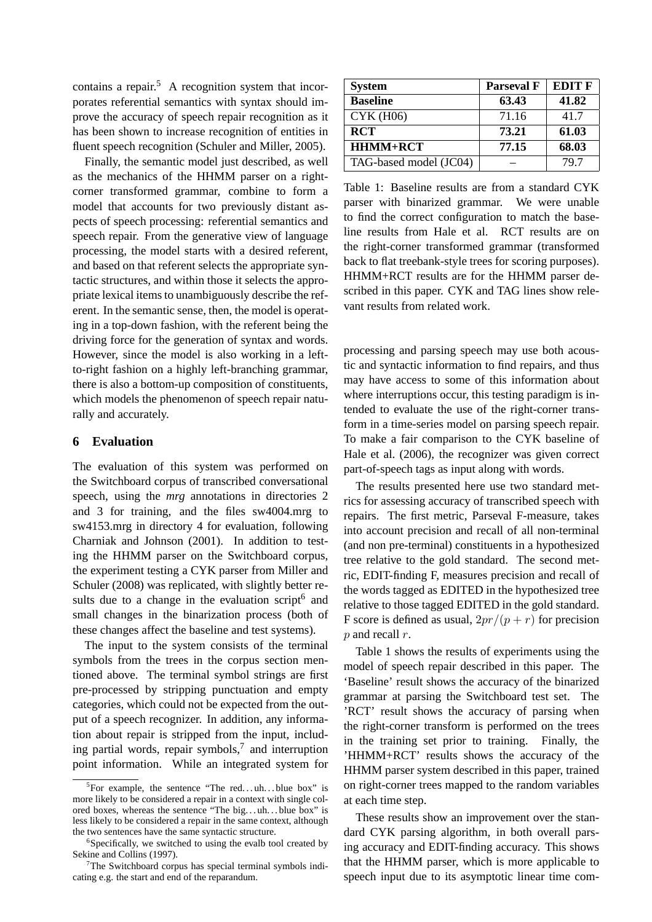contains a repair.<sup>5</sup> A recognition system that incorporates referential semantics with syntax should improve the accuracy of speech repair recognition as it has been shown to increase recognition of entities in fluent speech recognition (Schuler and Miller, 2005).

Finally, the semantic model just described, as well as the mechanics of the HHMM parser on a rightcorner transformed grammar, combine to form a model that accounts for two previously distant aspects of speech processing: referential semantics and speech repair. From the generative view of language processing, the model starts with a desired referent, and based on that referent selects the appropriate syntactic structures, and within those it selects the appropriate lexical items to unambiguously describe the referent. In the semantic sense, then, the model is operating in a top-down fashion, with the referent being the driving force for the generation of syntax and words. However, since the model is also working in a leftto-right fashion on a highly left-branching grammar, there is also a bottom-up composition of constituents, which models the phenomenon of speech repair naturally and accurately.

### **6 Evaluation**

The evaluation of this system was performed on the Switchboard corpus of transcribed conversational speech, using the *mrg* annotations in directories 2 and 3 for training, and the files sw4004.mrg to sw4153.mrg in directory 4 for evaluation, following Charniak and Johnson (2001). In addition to testing the HHMM parser on the Switchboard corpus, the experiment testing a CYK parser from Miller and Schuler (2008) was replicated, with slightly better results due to a change in the evaluation script $6$  and small changes in the binarization process (both of these changes affect the baseline and test systems).

The input to the system consists of the terminal symbols from the trees in the corpus section mentioned above. The terminal symbol strings are first pre-processed by stripping punctuation and empty categories, which could not be expected from the output of a speech recognizer. In addition, any information about repair is stripped from the input, including partial words, repair symbols, $^7$  and interruption point information. While an integrated system for

| <b>System</b>          | <b>Parseval F</b> | <b>EDIT F</b> |
|------------------------|-------------------|---------------|
| <b>Baseline</b>        | 63.43             | 41.82         |
| <b>CYK (H06)</b>       | 71.16             | 41.7          |
| <b>RCT</b>             | 73.21             | 61.03         |
| <b>HHMM+RCT</b>        | 77.15             | 68.03         |
| TAG-based model (JC04) |                   | 79.7          |

Table 1: Baseline results are from a standard CYK parser with binarized grammar. We were unable to find the correct configuration to match the baseline results from Hale et al. RCT results are on the right-corner transformed grammar (transformed back to flat treebank-style trees for scoring purposes). HHMM+RCT results are for the HHMM parser described in this paper. CYK and TAG lines show relevant results from related work.

processing and parsing speech may use both acoustic and syntactic information to find repairs, and thus may have access to some of this information about where interruptions occur, this testing paradigm is intended to evaluate the use of the right-corner transform in a time-series model on parsing speech repair. To make a fair comparison to the CYK baseline of Hale et al. (2006), the recognizer was given correct part-of-speech tags as input along with words.

The results presented here use two standard metrics for assessing accuracy of transcribed speech with repairs. The first metric, Parseval F-measure, takes into account precision and recall of all non-terminal (and non pre-terminal) constituents in a hypothesized tree relative to the gold standard. The second metric, EDIT-finding F, measures precision and recall of the words tagged as EDITED in the hypothesized tree relative to those tagged EDITED in the gold standard. F score is defined as usual,  $2pr/(p + r)$  for precision p and recall r.

Table 1 shows the results of experiments using the model of speech repair described in this paper. The 'Baseline' result shows the accuracy of the binarized grammar at parsing the Switchboard test set. The 'RCT' result shows the accuracy of parsing when the right-corner transform is performed on the trees in the training set prior to training. Finally, the 'HHMM+RCT' results shows the accuracy of the HHMM parser system described in this paper, trained on right-corner trees mapped to the random variables at each time step.

These results show an improvement over the standard CYK parsing algorithm, in both overall parsing accuracy and EDIT-finding accuracy. This shows that the HHMM parser, which is more applicable to speech input due to its asymptotic linear time com-

<sup>&</sup>lt;sup>5</sup>For example, the sentence "The red...uh...blue box" is more likely to be considered a repair in a context with single colored boxes, whereas the sentence "The big. . . uh. . . blue box" is less likely to be considered a repair in the same context, although the two sentences have the same syntactic structure.

<sup>&</sup>lt;sup>6</sup>Specifically, we switched to using the evalb tool created by Sekine and Collins (1997).

 $7$ The Switchboard corpus has special terminal symbols indicating e.g. the start and end of the reparandum.